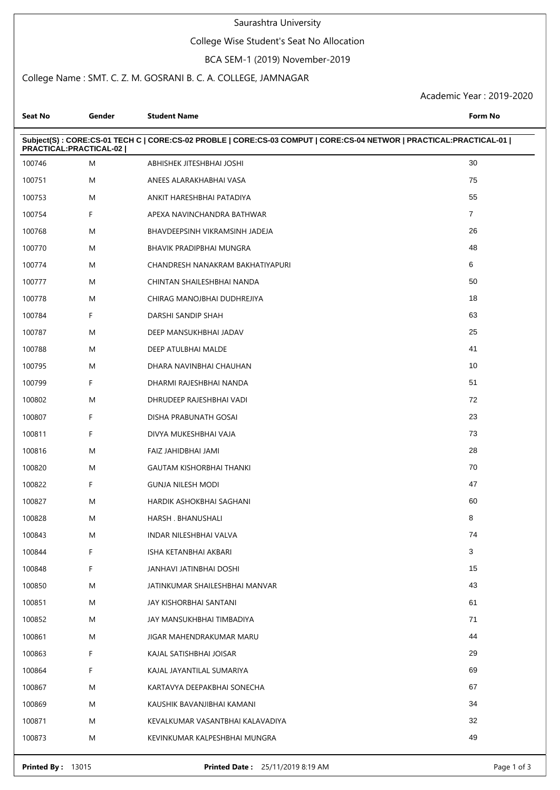#### Saurashtra University

### College Wise Student's Seat No Allocation

#### BCA SEM-1 (2019) November-2019

### College Name : SMT. C. Z. M. GOSRANI B. C. A. COLLEGE, JAMNAGAR

Academic Year : 2019-2020

| Seat No                | Gender | <b>Student Name</b>                                                                                                | <b>Form No</b> |
|------------------------|--------|--------------------------------------------------------------------------------------------------------------------|----------------|
| PRACTICAL:PRACTICAL-02 |        | Subject(S): CORE:CS-01 TECH C   CORE:CS-02 PROBLE   CORE:CS-03 COMPUT   CORE:CS-04 NETWOR   PRACTICAL:PRACTICAL-01 |                |
| 100746                 | M      | ABHISHEK JITESHBHAI JOSHI                                                                                          | 30             |
| 100751                 | M      | ANEES ALARAKHABHAI VASA                                                                                            | 75             |
| 100753                 | M      | ANKIT HARESHBHAI PATADIYA                                                                                          | 55             |
| 100754                 | F      | APEXA NAVINCHANDRA BATHWAR                                                                                         | $\overline{7}$ |
| 100768                 | M      | BHAVDEEPSINH VIKRAMSINH JADEJA                                                                                     | 26             |
| 100770                 | M      | BHAVIK PRADIPBHAI MUNGRA                                                                                           | 48             |
| 100774                 | M      | CHANDRESH NANAKRAM BAKHATIYAPURI                                                                                   | 6              |
| 100777                 | M      | CHINTAN SHAILESHBHAI NANDA                                                                                         | 50             |
| 100778                 | M      | CHIRAG MANOJBHAI DUDHREJIYA                                                                                        | 18             |
| 100784                 | F      | DARSHI SANDIP SHAH                                                                                                 | 63             |
| 100787                 | Μ      | DEEP MANSUKHBHAI JADAV                                                                                             | 25             |
| 100788                 | M      | DEEP ATULBHAI MALDE                                                                                                | 41             |
| 100795                 | M      | DHARA NAVINBHAI CHAUHAN                                                                                            | 10             |
| 100799                 | F      | DHARMI RAJESHBHAI NANDA                                                                                            | 51             |
| 100802                 | M      | DHRUDEEP RAJESHBHAI VADI                                                                                           | 72             |
| 100807                 | F      | DISHA PRABUNATH GOSAI                                                                                              | 23             |
| 100811                 | F      | DIVYA MUKESHBHAI VAJA                                                                                              | 73             |
| 100816                 | Μ      | FAIZ JAHIDBHAI JAMI                                                                                                | 28             |
| 100820                 | M      | <b>GAUTAM KISHORBHAI THANKI</b>                                                                                    | 70             |
| 100822                 | F      | <b>GUNJA NILESH MODI</b>                                                                                           | 47             |
| 100827                 | M      | HARDIK ASHOKBHAI SAGHANI                                                                                           | 60             |
| 100828                 | M      | HARSH. BHANUSHALI                                                                                                  | 8              |
| 100843                 | M      | INDAR NILESHBHAI VALVA                                                                                             | 74             |
| 100844                 | F      | ISHA KETANBHAI AKBARI                                                                                              | 3              |
| 100848                 | F      | JANHAVI JATINBHAI DOSHI                                                                                            | 15             |
| 100850                 | Μ      | JATINKUMAR SHAILESHBHAI MANVAR                                                                                     | 43             |
| 100851                 | Μ      | JAY KISHORBHAI SANTANI                                                                                             | 61             |
| 100852                 | Μ      | JAY MANSUKHBHAI TIMBADIYA                                                                                          | 71             |
| 100861                 | Μ      | JIGAR MAHENDRAKUMAR MARU                                                                                           | 44             |
| 100863                 | F      | KAJAL SATISHBHAI JOISAR                                                                                            | 29             |
| 100864                 | F      | KAJAL JAYANTILAL SUMARIYA                                                                                          | 69             |
| 100867                 | M      | KARTAVYA DEEPAKBHAI SONECHA                                                                                        | 67             |
| 100869                 | Μ      | KAUSHIK BAVANJIBHAI KAMANI                                                                                         | 34             |
| 100871                 | Μ      | KEVALKUMAR VASANTBHAI KALAVADIYA                                                                                   | 32             |
| 100873                 | Μ      | KEVINKUMAR KALPESHBHAI MUNGRA                                                                                      | 49             |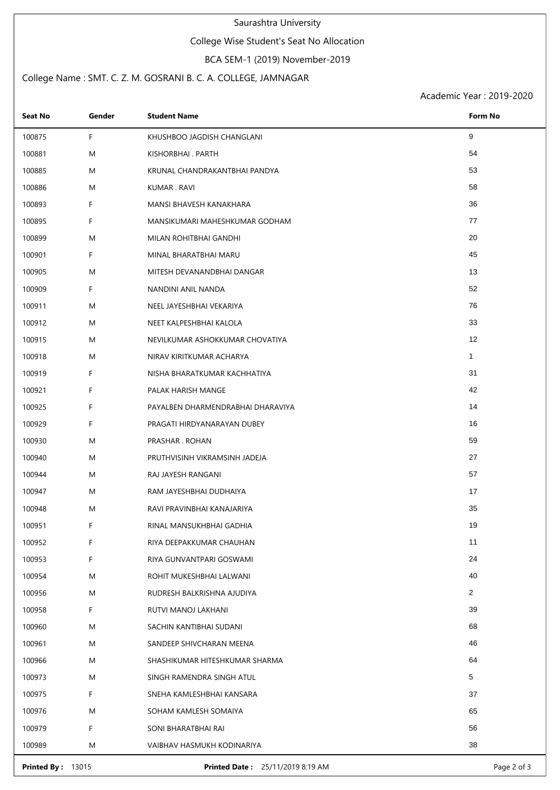#### Saurashtra University

### College Wise Student's Seat No Allocation

#### BCA SEM-1 (2019) November-2019

### College Name : SMT. C. Z. M. GOSRANI B. C. A. COLLEGE, JAMNAGAR

Academic Year : 2019-2020

| <b>Seat No</b> | Gender | <b>Student Name</b>               | Form No      |
|----------------|--------|-----------------------------------|--------------|
| 100875         | F.     | KHUSHBOO JAGDISH CHANGLANI        | 9            |
| 100881         | M      | KISHORBHAI. PARTH                 | 54           |
| 100885         | M      | KRUNAL CHANDRAKANTBHAI PANDYA     | 53           |
| 100886         | M      | KUMAR . RAVI                      | 58           |
| 100893         | F.     | MANSI BHAVESH KANAKHARA           | 36           |
| 100895         | F.     | MANSIKUMARI MAHESHKUMAR GODHAM    | 77           |
| 100899         | M      | MILAN ROHITBHAI GANDHI            | 20           |
| 100901         | F.     | MINAL BHARATBHAI MARU             | 45           |
| 100905         | M      | MITESH DEVANANDBHAI DANGAR        | 13           |
| 100909         | F.     | NANDINI ANIL NANDA                | 52           |
| 100911         | M      | NEEL JAYESHBHAI VEKARIYA          | 76           |
| 100912         | M      | NEET KALPESHBHAI KALOLA           | 33           |
| 100915         | M      | NEVILKUMAR ASHOKKUMAR CHOVATIYA   | 12           |
| 100918         | M      | NIRAV KIRITKUMAR ACHARYA          | $\mathbf{1}$ |
| 100919         | F.     | NISHA BHARATKUMAR KACHHATIYA      | 31           |
| 100921         | F.     | PALAK HARISH MANGE                | 42           |
| 100925         | F.     | PAYALBEN DHARMENDRABHAI DHARAVIYA | 14           |
| 100929         | F.     | PRAGATI HIRDYANARAYAN DUBEY       | 16           |
| 100930         | M      | PRASHAR . ROHAN                   | 59           |
| 100940         | M      | PRUTHVISINH VIKRAMSINH JADEJA     | 27           |
| 100944         | M      | RAJ JAYESH RANGANI                | 57           |
| 100947         | M      | RAM JAYESHBHAI DUDHAIYA           | 17           |
| 100948         | M      | RAVI PRAVINBHAI KANAJARIYA        | 35           |
| 100951         | F      | RINAL MANSUKHBHAI GADHIA          | 19           |
| 100952         | F      | RIYA DEEPAKKUMAR CHAUHAN          | 11           |
| 100953         | F.     | RIYA GUNVANTPARI GOSWAMI          | 24           |
| 100954         | M      | ROHIT MUKESHBHAI LALWANI          | 40           |
| 100956         | M      | RUDRESH BALKRISHNA AJUDIYA        | 2            |
| 100958         | F      | RUTVI MANOJ LAKHANI               | 39           |
| 100960         | M      | SACHIN KANTIBHAI SUDANI           | 68           |
| 100961         | M      | SANDEEP SHIVCHARAN MEENA          | 46           |
| 100966         | M      | SHASHIKUMAR HITESHKUMAR SHARMA    | 64           |
| 100973         | M      | SINGH RAMENDRA SINGH ATUL         | 5            |
| 100975         | F.     | SNEHA KAMLESHBHAI KANSARA         | 37           |
| 100976         | M      | SOHAM KAMLESH SOMAIYA             | 65           |
| 100979         | F.     | SONI BHARATBHAI RAI               | 56           |
| 100989         | M      | VAIBHAV HASMUKH KODINARIYA        | 38           |

**Printed By :** 13015 **Printed Date :** 25/11/2019 8:19 AM **Page 2 of 3** Page 2 of 3